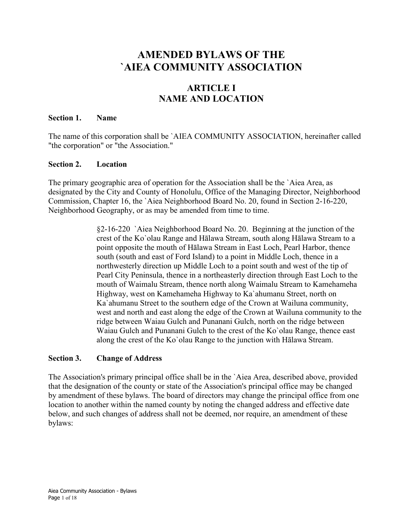# **AMENDED BYLAWS OF THE `AIEA COMMUNITY ASSOCIATION**

# **ARTICLE I NAME AND LOCATION**

#### **Section 1. Name**

The name of this corporation shall be `AIEA COMMUNITY ASSOCIATION, hereinafter called "the corporation" or "the Association."

#### **Section 2. Location**

The primary geographic area of operation for the Association shall be the `Aiea Area, as designated by the City and County of Honolulu, Office of the Managing Director, Neighborhood Commission, Chapter 16, the `Aiea Neighborhood Board No. 20, found in Section 2-16-220, Neighborhood Geography, or as may be amended from time to time.

> §2-16-220 `Aiea Neighborhood Board No. 20. Beginning at the junction of the crest of the Ko`olau Range and Hālawa Stream, south along Hālawa Stream to a point opposite the mouth of Hālawa Stream in East Loch, Pearl Harbor, thence south (south and east of Ford Island) to a point in Middle Loch, thence in a northwesterly direction up Middle Loch to a point south and west of the tip of Pearl City Peninsula, thence in a northeasterly direction through East Loch to the mouth of Waimalu Stream, thence north along Waimalu Stream to Kamehameha Highway, west on Kamehameha Highway to Ka`ahumanu Street, north on Ka`ahumanu Street to the southern edge of the Crown at Wailuna community, west and north and east along the edge of the Crown at Wailuna community to the ridge between Waiau Gulch and Punanani Gulch, north on the ridge between Waiau Gulch and Punanani Gulch to the crest of the Ko`olau Range, thence east along the crest of the Ko`olau Range to the junction with Hālawa Stream.

#### **Section 3. Change of Address**

The Association's primary principal office shall be in the `Aiea Area, described above, provided that the designation of the county or state of the Association's principal office may be changed by amendment of these bylaws. The board of directors may change the principal office from one location to another within the named county by noting the changed address and effective date below, and such changes of address shall not be deemed, nor require, an amendment of these bylaws: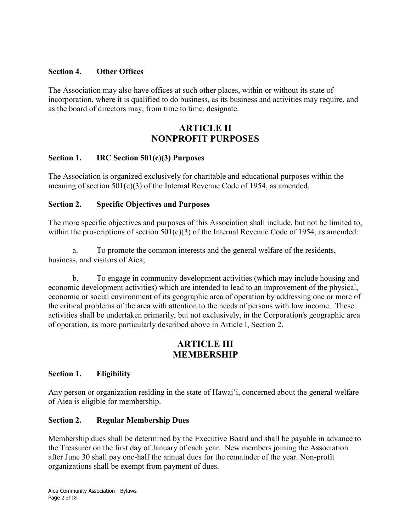#### **Section 4. Other Offices**

The Association may also have offices at such other places, within or without its state of incorporation, where it is qualified to do business, as its business and activities may require, and as the board of directors may, from time to time, designate.

# **ARTICLE II NONPROFIT PURPOSES**

#### **Section 1. IRC Section 501(c)(3) Purposes**

The Association is organized exclusively for charitable and educational purposes within the meaning of section  $501(c)(3)$  of the Internal Revenue Code of 1954, as amended.

#### **Section 2. Specific Objectives and Purposes**

The more specific objectives and purposes of this Association shall include, but not be limited to, within the proscriptions of section 501(c)(3) of the Internal Revenue Code of 1954, as amended:

a. To promote the common interests and the general welfare of the residents, business, and visitors of Aiea;

b. To engage in community development activities (which may include housing and economic development activities) which are intended to lead to an improvement of the physical, economic or social environment of its geographic area of operation by addressing one or more of the critical problems of the area with attention to the needs of persons with low income. These activities shall be undertaken primarily, but not exclusively, in the Corporation's geographic area of operation, as more particularly described above in Article I, Section 2.

## **ARTICLE III MEMBERSHIP**

#### **Section 1. Eligibility**

Any person or organization residing in the state of Hawai'i, concerned about the general welfare of Aiea is eligible for membership.

#### **Section 2. Regular Membership Dues**

Membership dues shall be determined by the Executive Board and shall be payable in advance to the Treasurer on the first day of January of each year. New members joining the Association after June 30 shall pay one-half the annual dues for the remainder of the year. Non-profit organizations shall be exempt from payment of dues.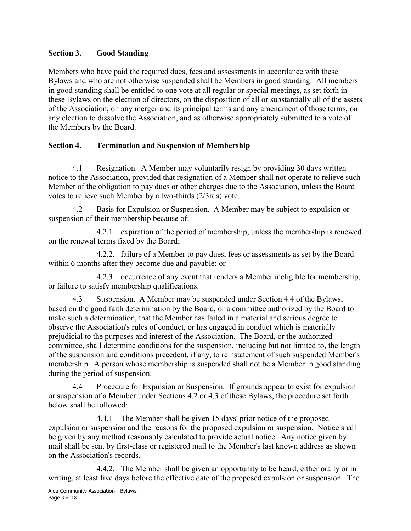### **Section 3. Good Standing**

Members who have paid the required dues, fees and assessments in accordance with these Bylaws and who are not otherwise suspended shall be Members in good standing. All members in good standing shall be entitled to one vote at all regular or special meetings, as set forth in these Bylaws on the election of directors, on the disposition of all or substantially all of the assets of the Association, on any merger and its principal terms and any amendment of those terms, on any election to dissolve the Association, and as otherwise appropriately submitted to a vote of the Members by the Board.

## **Section 4. Termination and Suspension of Membership**

4.1 Resignation. A Member may voluntarily resign by providing 30 days written notice to the Association, provided that resignation of a Member shall not operate to relieve such Member of the obligation to pay dues or other charges due to the Association, unless the Board votes to relieve such Member by a two-thirds (2/3rds) vote.

4.2 Basis for Expulsion or Suspension. A Member may be subject to expulsion or suspension of their membership because of:

4.2.1 expiration of the period of membership, unless the membership is renewed on the renewal terms fixed by the Board;

4.2.2. failure of a Member to pay dues, fees or assessments as set by the Board within 6 months after they become due and payable; or

4.2.3 occurrence of any event that renders a Member ineligible for membership, or failure to satisfy membership qualifications.

4.3 Suspension. A Member may be suspended under Section 4.4 of the Bylaws, based on the good faith determination by the Board, or a committee authorized by the Board to make such a determination, that the Member has failed in a material and serious degree to observe the Association's rules of conduct, or has engaged in conduct which is materially prejudicial to the purposes and interest of the Association. The Board, or the authorized committee, shall determine conditions for the suspension, including but not limited to, the length of the suspension and conditions precedent, if any, to reinstatement of such suspended Member's membership. A person whose membership is suspended shall not be a Member in good standing during the period of suspension.

4.4 Procedure for Expulsion or Suspension. If grounds appear to exist for expulsion or suspension of a Member under Sections 4.2 or 4.3 of these Bylaws, the procedure set forth below shall be followed:

4.4.1 The Member shall be given 15 days' prior notice of the proposed expulsion or suspension and the reasons for the proposed expulsion or suspension. Notice shall be given by any method reasonably calculated to provide actual notice. Any notice given by mail shall be sent by first-class or registered mail to the Member's last known address as shown on the Association's records.

4.4.2. The Member shall be given an opportunity to be heard, either orally or in writing, at least five days before the effective date of the proposed expulsion or suspension. The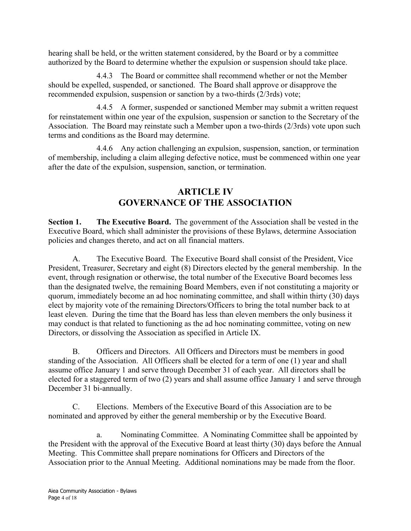hearing shall be held, or the written statement considered, by the Board or by a committee authorized by the Board to determine whether the expulsion or suspension should take place.

4.4.3 The Board or committee shall recommend whether or not the Member should be expelled, suspended, or sanctioned. The Board shall approve or disapprove the recommended expulsion, suspension or sanction by a two-thirds (2/3rds) vote;

4.4.5 A former, suspended or sanctioned Member may submit a written request for reinstatement within one year of the expulsion, suspension or sanction to the Secretary of the Association. The Board may reinstate such a Member upon a two-thirds (2/3rds) vote upon such terms and conditions as the Board may determine.

4.4.6 Any action challenging an expulsion, suspension, sanction, or termination of membership, including a claim alleging defective notice, must be commenced within one year after the date of the expulsion, suspension, sanction, or termination.

# **ARTICLE IV GOVERNANCE OF THE ASSOCIATION**

**Section 1. The Executive Board.** The government of the Association shall be vested in the Executive Board, which shall administer the provisions of these Bylaws, determine Association policies and changes thereto, and act on all financial matters.

A. The Executive Board. The Executive Board shall consist of the President, Vice President, Treasurer, Secretary and eight (8) Directors elected by the general membership. In the event, through resignation or otherwise, the total number of the Executive Board becomes less than the designated twelve, the remaining Board Members, even if not constituting a majority or quorum, immediately become an ad hoc nominating committee, and shall within thirty (30) days elect by majority vote of the remaining Directors/Officers to bring the total number back to at least eleven. During the time that the Board has less than eleven members the only business it may conduct is that related to functioning as the ad hoc nominating committee, voting on new Directors, or dissolving the Association as specified in Article IX.

B. Officers and Directors. All Officers and Directors must be members in good standing of the Association. All Officers shall be elected for a term of one (1) year and shall assume office January 1 and serve through December 31 of each year. All directors shall be elected for a staggered term of two (2) years and shall assume office January 1 and serve through December 31 bi-annually.

C. Elections. Members of the Executive Board of this Association are to be nominated and approved by either the general membership or by the Executive Board.

a. Nominating Committee. A Nominating Committee shall be appointed by the President with the approval of the Executive Board at least thirty (30) days before the Annual Meeting. This Committee shall prepare nominations for Officers and Directors of the Association prior to the Annual Meeting. Additional nominations may be made from the floor.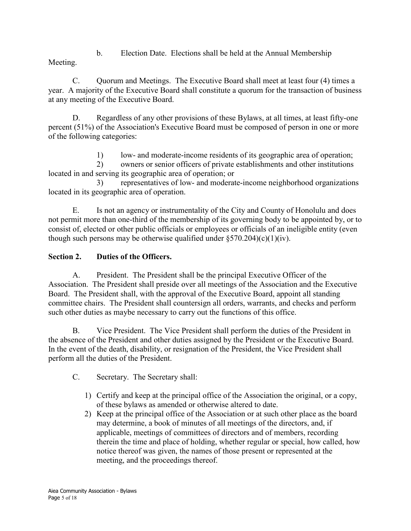b. Election Date. Elections shall be held at the Annual Membership Meeting.

C. Quorum and Meetings. The Executive Board shall meet at least four (4) times a year. A majority of the Executive Board shall constitute a quorum for the transaction of business at any meeting of the Executive Board.

D. Regardless of any other provisions of these Bylaws, at all times, at least fifty-one percent (51%) of the Association's Executive Board must be composed of person in one or more of the following categories:

1) low- and moderate-income residents of its geographic area of operation;

2) owners or senior officers of private establishments and other institutions located in and serving its geographic area of operation; or

3) representatives of low- and moderate-income neighborhood organizations located in its geographic area of operation.

E. Is not an agency or instrumentality of the City and County of Honolulu and does not permit more than one-third of the membership of its governing body to be appointed by, or to consist of, elected or other public officials or employees or officials of an ineligible entity (even though such persons may be otherwise qualified under  $\S 570.204$ )(c)(1)(iv).

# **Section 2. Duties of the Officers.**

A. President. The President shall be the principal Executive Officer of the Association. The President shall preside over all meetings of the Association and the Executive Board. The President shall, with the approval of the Executive Board, appoint all standing committee chairs. The President shall countersign all orders, warrants, and checks and perform such other duties as maybe necessary to carry out the functions of this office.

B. Vice President. The Vice President shall perform the duties of the President in the absence of the President and other duties assigned by the President or the Executive Board. In the event of the death, disability, or resignation of the President, the Vice President shall perform all the duties of the President.

- C. Secretary. The Secretary shall:
	- 1) Certify and keep at the principal office of the Association the original, or a copy, of these bylaws as amended or otherwise altered to date.
	- 2) Keep at the principal office of the Association or at such other place as the board may determine, a book of minutes of all meetings of the directors, and, if applicable, meetings of committees of directors and of members, recording therein the time and place of holding, whether regular or special, how called, how notice thereof was given, the names of those present or represented at the meeting, and the proceedings thereof.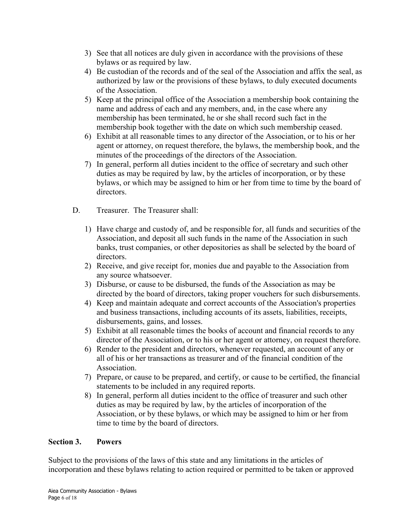- 3) See that all notices are duly given in accordance with the provisions of these bylaws or as required by law.
- 4) Be custodian of the records and of the seal of the Association and affix the seal, as authorized by law or the provisions of these bylaws, to duly executed documents of the Association.
- 5) Keep at the principal office of the Association a membership book containing the name and address of each and any members, and, in the case where any membership has been terminated, he or she shall record such fact in the membership book together with the date on which such membership ceased.
- 6) Exhibit at all reasonable times to any director of the Association, or to his or her agent or attorney, on request therefore, the bylaws, the membership book, and the minutes of the proceedings of the directors of the Association.
- 7) In general, perform all duties incident to the office of secretary and such other duties as may be required by law, by the articles of incorporation, or by these bylaws, or which may be assigned to him or her from time to time by the board of directors.
- D. Treasurer. The Treasurer shall:
	- 1) Have charge and custody of, and be responsible for, all funds and securities of the Association, and deposit all such funds in the name of the Association in such banks, trust companies, or other depositories as shall be selected by the board of directors.
	- 2) Receive, and give receipt for, monies due and payable to the Association from any source whatsoever.
	- 3) Disburse, or cause to be disbursed, the funds of the Association as may be directed by the board of directors, taking proper vouchers for such disbursements.
	- 4) Keep and maintain adequate and correct accounts of the Association's properties and business transactions, including accounts of its assets, liabilities, receipts, disbursements, gains, and losses.
	- 5) Exhibit at all reasonable times the books of account and financial records to any director of the Association, or to his or her agent or attorney, on request therefore.
	- 6) Render to the president and directors, whenever requested, an account of any or all of his or her transactions as treasurer and of the financial condition of the Association.
	- 7) Prepare, or cause to be prepared, and certify, or cause to be certified, the financial statements to be included in any required reports.
	- 8) In general, perform all duties incident to the office of treasurer and such other duties as may be required by law, by the articles of incorporation of the Association, or by these bylaws, or which may be assigned to him or her from time to time by the board of directors.

### **Section 3. Powers**

Subject to the provisions of the laws of this state and any limitations in the articles of incorporation and these bylaws relating to action required or permitted to be taken or approved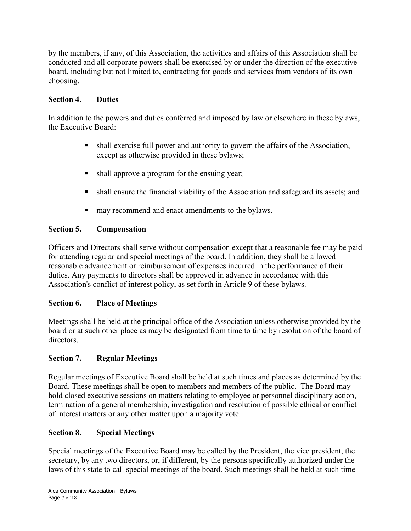by the members, if any, of this Association, the activities and affairs of this Association shall be conducted and all corporate powers shall be exercised by or under the direction of the executive board, including but not limited to, contracting for goods and services from vendors of its own choosing.

### **Section 4. Duties**

In addition to the powers and duties conferred and imposed by law or elsewhere in these bylaws, the Executive Board:

- shall exercise full power and authority to govern the affairs of the Association, except as otherwise provided in these bylaws;
- shall approve a program for the ensuing year;
- shall ensure the financial viability of the Association and safeguard its assets; and
- **n** may recommend and enact amendments to the bylaws.

## **Section 5. Compensation**

Officers and Directors shall serve without compensation except that a reasonable fee may be paid for attending regular and special meetings of the board. In addition, they shall be allowed reasonable advancement or reimbursement of expenses incurred in the performance of their duties. Any payments to directors shall be approved in advance in accordance with this Association's conflict of interest policy, as set forth in Article 9 of these bylaws.

### **Section 6. Place of Meetings**

Meetings shall be held at the principal office of the Association unless otherwise provided by the board or at such other place as may be designated from time to time by resolution of the board of directors.

### **Section 7. Regular Meetings**

Regular meetings of Executive Board shall be held at such times and places as determined by the Board. These meetings shall be open to members and members of the public. The Board may hold closed executive sessions on matters relating to employee or personnel disciplinary action, termination of a general membership, investigation and resolution of possible ethical or conflict of interest matters or any other matter upon a majority vote.

### **Section 8. Special Meetings**

Special meetings of the Executive Board may be called by the President, the vice president, the secretary, by any two directors, or, if different, by the persons specifically authorized under the laws of this state to call special meetings of the board. Such meetings shall be held at such time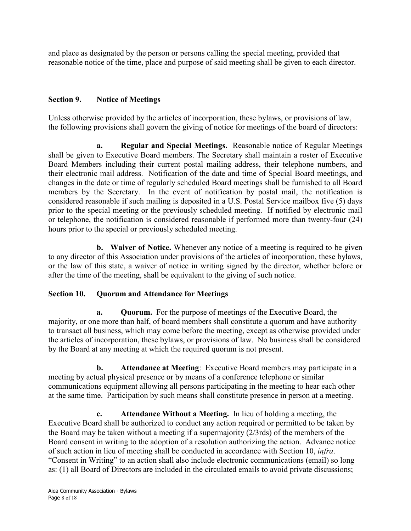and place as designated by the person or persons calling the special meeting, provided that reasonable notice of the time, place and purpose of said meeting shall be given to each director.

### **Section 9. Notice of Meetings**

Unless otherwise provided by the articles of incorporation, these bylaws, or provisions of law, the following provisions shall govern the giving of notice for meetings of the board of directors:

**a. Regular and Special Meetings.** Reasonable notice of Regular Meetings shall be given to Executive Board members. The Secretary shall maintain a roster of Executive Board Members including their current postal mailing address, their telephone numbers, and their electronic mail address. Notification of the date and time of Special Board meetings, and changes in the date or time of regularly scheduled Board meetings shall be furnished to all Board members by the Secretary. In the event of notification by postal mail, the notification is considered reasonable if such mailing is deposited in a U.S. Postal Service mailbox five (5) days prior to the special meeting or the previously scheduled meeting. If notified by electronic mail or telephone, the notification is considered reasonable if performed more than twenty-four (24) hours prior to the special or previously scheduled meeting.

**b. Waiver of Notice.** Whenever any notice of a meeting is required to be given to any director of this Association under provisions of the articles of incorporation, these bylaws, or the law of this state, a waiver of notice in writing signed by the director, whether before or after the time of the meeting, shall be equivalent to the giving of such notice.

### **Section 10. Quorum and Attendance for Meetings**

**a. Quorum.** For the purpose of meetings of the Executive Board, the majority, or one more than half, of board members shall constitute a quorum and have authority to transact all business, which may come before the meeting, except as otherwise provided under the articles of incorporation, these bylaws, or provisions of law. No business shall be considered by the Board at any meeting at which the required quorum is not present.

**b. Attendance at Meeting**: Executive Board members may participate in a meeting by actual physical presence or by means of a conference telephone or similar communications equipment allowing all persons participating in the meeting to hear each other at the same time. Participation by such means shall constitute presence in person at a meeting.

**c. Attendance Without a Meeting.** In lieu of holding a meeting, the Executive Board shall be authorized to conduct any action required or permitted to be taken by the Board may be taken without a meeting if a supermajority (2/3rds) of the members of the Board consent in writing to the adoption of a resolution authorizing the action. Advance notice of such action in lieu of meeting shall be conducted in accordance with Section 10, *infra*. "Consent in Writing" to an action shall also include electronic communications (email) so long as: (1) all Board of Directors are included in the circulated emails to avoid private discussions;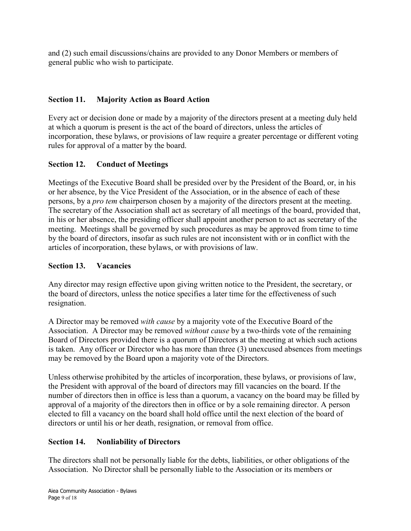and (2) such email discussions/chains are provided to any Donor Members or members of general public who wish to participate.

## **Section 11. Majority Action as Board Action**

Every act or decision done or made by a majority of the directors present at a meeting duly held at which a quorum is present is the act of the board of directors, unless the articles of incorporation, these bylaws, or provisions of law require a greater percentage or different voting rules for approval of a matter by the board.

# **Section 12. Conduct of Meetings**

Meetings of the Executive Board shall be presided over by the President of the Board, or, in his or her absence, by the Vice President of the Association, or in the absence of each of these persons, by a *pro tem* chairperson chosen by a majority of the directors present at the meeting. The secretary of the Association shall act as secretary of all meetings of the board, provided that, in his or her absence, the presiding officer shall appoint another person to act as secretary of the meeting. Meetings shall be governed by such procedures as may be approved from time to time by the board of directors, insofar as such rules are not inconsistent with or in conflict with the articles of incorporation, these bylaws, or with provisions of law.

## **Section 13. Vacancies**

Any director may resign effective upon giving written notice to the President, the secretary, or the board of directors, unless the notice specifies a later time for the effectiveness of such resignation.

A Director may be removed *with cause* by a majority vote of the Executive Board of the Association. A Director may be removed *without cause* by a two-thirds vote of the remaining Board of Directors provided there is a quorum of Directors at the meeting at which such actions is taken. Any officer or Director who has more than three (3) unexcused absences from meetings may be removed by the Board upon a majority vote of the Directors.

Unless otherwise prohibited by the articles of incorporation, these bylaws, or provisions of law, the President with approval of the board of directors may fill vacancies on the board. If the number of directors then in office is less than a quorum, a vacancy on the board may be filled by approval of a majority of the directors then in office or by a sole remaining director. A person elected to fill a vacancy on the board shall hold office until the next election of the board of directors or until his or her death, resignation, or removal from office.

## **Section 14. Nonliability of Directors**

The directors shall not be personally liable for the debts, liabilities, or other obligations of the Association. No Director shall be personally liable to the Association or its members or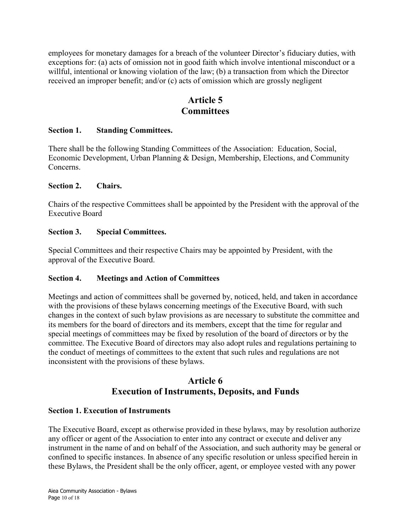employees for monetary damages for a breach of the volunteer Director's fiduciary duties, with exceptions for: (a) acts of omission not in good faith which involve intentional misconduct or a willful, intentional or knowing violation of the law; (b) a transaction from which the Director received an improper benefit; and/or (c) acts of omission which are grossly negligent

# **Article 5 Committees**

#### **Section 1. Standing Committees.**

There shall be the following Standing Committees of the Association: Education, Social, Economic Development, Urban Planning & Design, Membership, Elections, and Community Concerns.

#### **Section 2. Chairs.**

Chairs of the respective Committees shall be appointed by the President with the approval of the Executive Board

### **Section 3. Special Committees.**

Special Committees and their respective Chairs may be appointed by President, with the approval of the Executive Board.

### **Section 4. Meetings and Action of Committees**

Meetings and action of committees shall be governed by, noticed, held, and taken in accordance with the provisions of these bylaws concerning meetings of the Executive Board, with such changes in the context of such bylaw provisions as are necessary to substitute the committee and its members for the board of directors and its members, except that the time for regular and special meetings of committees may be fixed by resolution of the board of directors or by the committee. The Executive Board of directors may also adopt rules and regulations pertaining to the conduct of meetings of committees to the extent that such rules and regulations are not inconsistent with the provisions of these bylaws.

# **Article 6 Execution of Instruments, Deposits, and Funds**

#### **Section 1. Execution of Instruments**

The Executive Board, except as otherwise provided in these bylaws, may by resolution authorize any officer or agent of the Association to enter into any contract or execute and deliver any instrument in the name of and on behalf of the Association, and such authority may be general or confined to specific instances. In absence of any specific resolution or unless specified herein in these Bylaws, the President shall be the only officer, agent, or employee vested with any power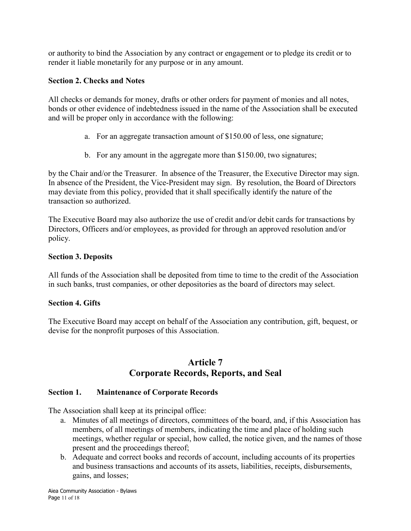or authority to bind the Association by any contract or engagement or to pledge its credit or to render it liable monetarily for any purpose or in any amount.

### **Section 2. Checks and Notes**

All checks or demands for money, drafts or other orders for payment of monies and all notes, bonds or other evidence of indebtedness issued in the name of the Association shall be executed and will be proper only in accordance with the following:

- a. For an aggregate transaction amount of \$150.00 of less, one signature;
- b. For any amount in the aggregate more than \$150.00, two signatures;

by the Chair and/or the Treasurer. In absence of the Treasurer, the Executive Director may sign. In absence of the President, the Vice-President may sign. By resolution, the Board of Directors may deviate from this policy, provided that it shall specifically identify the nature of the transaction so authorized.

The Executive Board may also authorize the use of credit and/or debit cards for transactions by Directors, Officers and/or employees, as provided for through an approved resolution and/or policy.

### **Section 3. Deposits**

All funds of the Association shall be deposited from time to time to the credit of the Association in such banks, trust companies, or other depositories as the board of directors may select.

## **Section 4. Gifts**

The Executive Board may accept on behalf of the Association any contribution, gift, bequest, or devise for the nonprofit purposes of this Association.

# **Article 7 Corporate Records, Reports, and Seal**

### **Section 1. Maintenance of Corporate Records**

The Association shall keep at its principal office:

- a. Minutes of all meetings of directors, committees of the board, and, if this Association has members, of all meetings of members, indicating the time and place of holding such meetings, whether regular or special, how called, the notice given, and the names of those present and the proceedings thereof;
- b. Adequate and correct books and records of account, including accounts of its properties and business transactions and accounts of its assets, liabilities, receipts, disbursements, gains, and losses;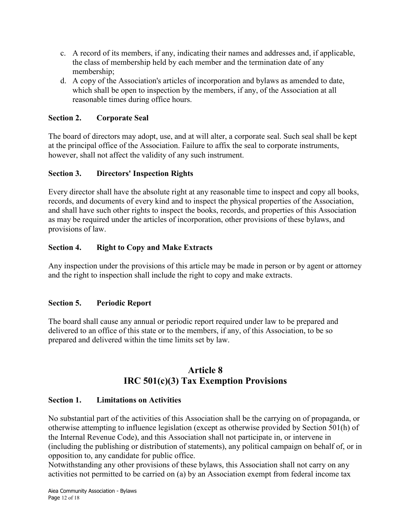- c. A record of its members, if any, indicating their names and addresses and, if applicable, the class of membership held by each member and the termination date of any membership;
- d. A copy of the Association's articles of incorporation and bylaws as amended to date, which shall be open to inspection by the members, if any, of the Association at all reasonable times during office hours.

### **Section 2. Corporate Seal**

The board of directors may adopt, use, and at will alter, a corporate seal. Such seal shall be kept at the principal office of the Association. Failure to affix the seal to corporate instruments, however, shall not affect the validity of any such instrument.

### **Section 3. Directors' Inspection Rights**

Every director shall have the absolute right at any reasonable time to inspect and copy all books, records, and documents of every kind and to inspect the physical properties of the Association, and shall have such other rights to inspect the books, records, and properties of this Association as may be required under the articles of incorporation, other provisions of these bylaws, and provisions of law.

### **Section 4. Right to Copy and Make Extracts**

Any inspection under the provisions of this article may be made in person or by agent or attorney and the right to inspection shall include the right to copy and make extracts.

## **Section 5. Periodic Report**

The board shall cause any annual or periodic report required under law to be prepared and delivered to an office of this state or to the members, if any, of this Association, to be so prepared and delivered within the time limits set by law.

# **Article 8 IRC 501(c)(3) Tax Exemption Provisions**

### **Section 1. Limitations on Activities**

No substantial part of the activities of this Association shall be the carrying on of propaganda, or otherwise attempting to influence legislation (except as otherwise provided by Section 501(h) of the Internal Revenue Code), and this Association shall not participate in, or intervene in (including the publishing or distribution of statements), any political campaign on behalf of, or in opposition to, any candidate for public office.

Notwithstanding any other provisions of these bylaws, this Association shall not carry on any activities not permitted to be carried on (a) by an Association exempt from federal income tax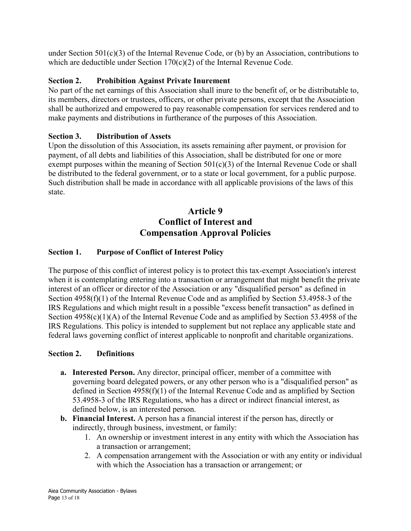under Section  $501(c)(3)$  of the Internal Revenue Code, or (b) by an Association, contributions to which are deductible under Section  $170(c)(2)$  of the Internal Revenue Code.

### **Section 2. Prohibition Against Private Inurement**

No part of the net earnings of this Association shall inure to the benefit of, or be distributable to, its members, directors or trustees, officers, or other private persons, except that the Association shall be authorized and empowered to pay reasonable compensation for services rendered and to make payments and distributions in furtherance of the purposes of this Association.

### **Section 3. Distribution of Assets**

Upon the dissolution of this Association, its assets remaining after payment, or provision for payment, of all debts and liabilities of this Association, shall be distributed for one or more exempt purposes within the meaning of Section 501(c)(3) of the Internal Revenue Code or shall be distributed to the federal government, or to a state or local government, for a public purpose. Such distribution shall be made in accordance with all applicable provisions of the laws of this state.

# **Article 9 Conflict of Interest and Compensation Approval Policies**

### **Section 1. Purpose of Conflict of Interest Policy**

The purpose of this conflict of interest policy is to protect this tax-exempt Association's interest when it is contemplating entering into a transaction or arrangement that might benefit the private interest of an officer or director of the Association or any "disqualified person" as defined in Section 4958(f)(1) of the Internal Revenue Code and as amplified by Section 53.4958-3 of the IRS Regulations and which might result in a possible "excess benefit transaction" as defined in Section 4958(c)(1)(A) of the Internal Revenue Code and as amplified by Section 53.4958 of the IRS Regulations. This policy is intended to supplement but not replace any applicable state and federal laws governing conflict of interest applicable to nonprofit and charitable organizations.

### **Section 2. Definitions**

- **a. Interested Person.** Any director, principal officer, member of a committee with governing board delegated powers, or any other person who is a "disqualified person" as defined in Section 4958(f)(1) of the Internal Revenue Code and as amplified by Section 53.4958-3 of the IRS Regulations, who has a direct or indirect financial interest, as defined below, is an interested person.
- **b. Financial Interest.** A person has a financial interest if the person has, directly or indirectly, through business, investment, or family:
	- 1. An ownership or investment interest in any entity with which the Association has a transaction or arrangement;
	- 2. A compensation arrangement with the Association or with any entity or individual with which the Association has a transaction or arrangement; or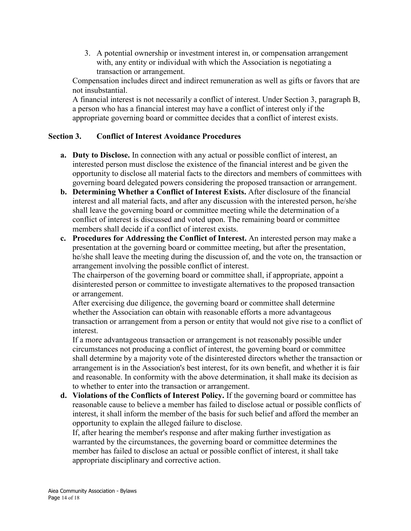3. A potential ownership or investment interest in, or compensation arrangement with, any entity or individual with which the Association is negotiating a transaction or arrangement.

Compensation includes direct and indirect remuneration as well as gifts or favors that are not insubstantial.

A financial interest is not necessarily a conflict of interest. Under Section 3, paragraph B, a person who has a financial interest may have a conflict of interest only if the appropriate governing board or committee decides that a conflict of interest exists.

### **Section 3. Conflict of Interest Avoidance Procedures**

- **a. Duty to Disclose.** In connection with any actual or possible conflict of interest, an interested person must disclose the existence of the financial interest and be given the opportunity to disclose all material facts to the directors and members of committees with governing board delegated powers considering the proposed transaction or arrangement.
- **b. Determining Whether a Conflict of Interest Exists.** After disclosure of the financial interest and all material facts, and after any discussion with the interested person, he/she shall leave the governing board or committee meeting while the determination of a conflict of interest is discussed and voted upon. The remaining board or committee members shall decide if a conflict of interest exists.
- **c. Procedures for Addressing the Conflict of Interest.** An interested person may make a presentation at the governing board or committee meeting, but after the presentation, he/she shall leave the meeting during the discussion of, and the vote on, the transaction or arrangement involving the possible conflict of interest.

The chairperson of the governing board or committee shall, if appropriate, appoint a disinterested person or committee to investigate alternatives to the proposed transaction or arrangement.

After exercising due diligence, the governing board or committee shall determine whether the Association can obtain with reasonable efforts a more advantageous transaction or arrangement from a person or entity that would not give rise to a conflict of interest.

If a more advantageous transaction or arrangement is not reasonably possible under circumstances not producing a conflict of interest, the governing board or committee shall determine by a majority vote of the disinterested directors whether the transaction or arrangement is in the Association's best interest, for its own benefit, and whether it is fair and reasonable. In conformity with the above determination, it shall make its decision as to whether to enter into the transaction or arrangement.

**d. Violations of the Conflicts of Interest Policy.** If the governing board or committee has reasonable cause to believe a member has failed to disclose actual or possible conflicts of interest, it shall inform the member of the basis for such belief and afford the member an opportunity to explain the alleged failure to disclose.

If, after hearing the member's response and after making further investigation as warranted by the circumstances, the governing board or committee determines the member has failed to disclose an actual or possible conflict of interest, it shall take appropriate disciplinary and corrective action.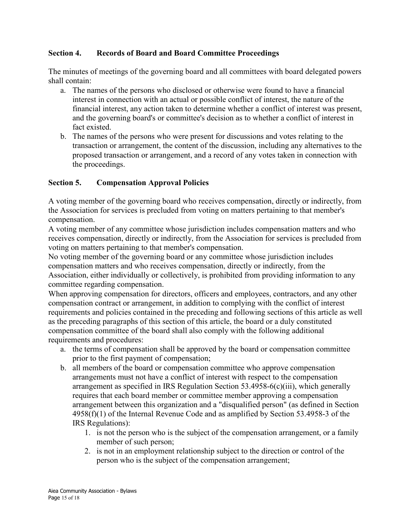### **Section 4. Records of Board and Board Committee Proceedings**

The minutes of meetings of the governing board and all committees with board delegated powers shall contain:

- a. The names of the persons who disclosed or otherwise were found to have a financial interest in connection with an actual or possible conflict of interest, the nature of the financial interest, any action taken to determine whether a conflict of interest was present, and the governing board's or committee's decision as to whether a conflict of interest in fact existed.
- b. The names of the persons who were present for discussions and votes relating to the transaction or arrangement, the content of the discussion, including any alternatives to the proposed transaction or arrangement, and a record of any votes taken in connection with the proceedings.

## **Section 5. Compensation Approval Policies**

A voting member of the governing board who receives compensation, directly or indirectly, from the Association for services is precluded from voting on matters pertaining to that member's compensation.

A voting member of any committee whose jurisdiction includes compensation matters and who receives compensation, directly or indirectly, from the Association for services is precluded from voting on matters pertaining to that member's compensation.

No voting member of the governing board or any committee whose jurisdiction includes compensation matters and who receives compensation, directly or indirectly, from the Association, either individually or collectively, is prohibited from providing information to any committee regarding compensation.

When approving compensation for directors, officers and employees, contractors, and any other compensation contract or arrangement, in addition to complying with the conflict of interest requirements and policies contained in the preceding and following sections of this article as well as the preceding paragraphs of this section of this article, the board or a duly constituted compensation committee of the board shall also comply with the following additional requirements and procedures:

- a. the terms of compensation shall be approved by the board or compensation committee prior to the first payment of compensation;
- b. all members of the board or compensation committee who approve compensation arrangements must not have a conflict of interest with respect to the compensation arrangement as specified in IRS Regulation Section 53.4958-6(c)(iii), which generally requires that each board member or committee member approving a compensation arrangement between this organization and a "disqualified person" (as defined in Section 4958(f)(1) of the Internal Revenue Code and as amplified by Section 53.4958-3 of the IRS Regulations):
	- 1. is not the person who is the subject of the compensation arrangement, or a family member of such person;
	- 2. is not in an employment relationship subject to the direction or control of the person who is the subject of the compensation arrangement;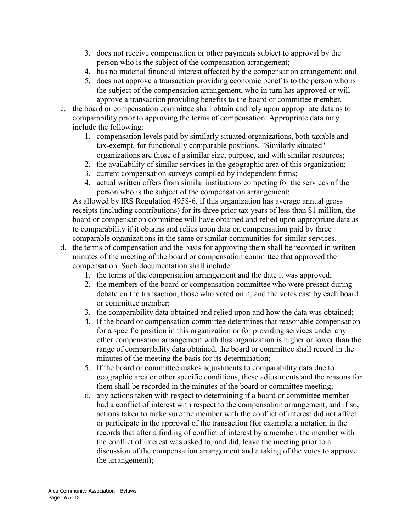- 3. does not receive compensation or other payments subject to approval by the person who is the subject of the compensation arrangement;
- 4. has no material financial interest affected by the compensation arrangement; and
- 5. does not approve a transaction providing economic benefits to the person who is the subject of the compensation arrangement, who in turn has approved or will approve a transaction providing benefits to the board or committee member.
- c. the board or compensation committee shall obtain and rely upon appropriate data as to comparability prior to approving the terms of compensation. Appropriate data may include the following:
	- 1. compensation levels paid by similarly situated organizations, both taxable and tax-exempt, for functionally comparable positions. "Similarly situated" organizations are those of a similar size, purpose, and with similar resources;
	- 2. the availability of similar services in the geographic area of this organization;
	- 3. current compensation surveys compiled by independent firms;
	- 4. actual written offers from similar institutions competing for the services of the person who is the subject of the compensation arrangement;

As allowed by IRS Regulation 4958-6, if this organization has average annual gross receipts (including contributions) for its three prior tax years of less than \$1 million, the board or compensation committee will have obtained and relied upon appropriate data as to comparability if it obtains and relies upon data on compensation paid by three comparable organizations in the same or similar communities for similar services.

- d. the terms of compensation and the basis for approving them shall be recorded in written minutes of the meeting of the board or compensation committee that approved the compensation. Such documentation shall include:
	- 1. the terms of the compensation arrangement and the date it was approved;
	- 2. the members of the board or compensation committee who were present during debate on the transaction, those who voted on it, and the votes cast by each board or committee member;
	- 3. the comparability data obtained and relied upon and how the data was obtained;
	- 4. If the board or compensation committee determines that reasonable compensation for a specific position in this organization or for providing services under any other compensation arrangement with this organization is higher or lower than the range of comparability data obtained, the board or committee shall record in the minutes of the meeting the basis for its determination;
	- 5. If the board or committee makes adjustments to comparability data due to geographic area or other specific conditions, these adjustments and the reasons for them shall be recorded in the minutes of the board or committee meeting;
	- 6. any actions taken with respect to determining if a board or committee member had a conflict of interest with respect to the compensation arrangement, and if so, actions taken to make sure the member with the conflict of interest did not affect or participate in the approval of the transaction (for example, a notation in the records that after a finding of conflict of interest by a member, the member with the conflict of interest was asked to, and did, leave the meeting prior to a discussion of the compensation arrangement and a taking of the votes to approve the arrangement);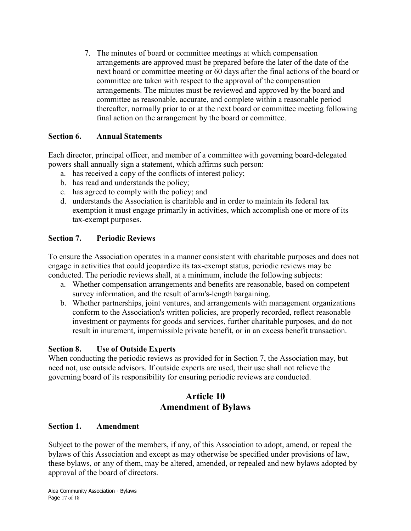7. The minutes of board or committee meetings at which compensation arrangements are approved must be prepared before the later of the date of the next board or committee meeting or 60 days after the final actions of the board or committee are taken with respect to the approval of the compensation arrangements. The minutes must be reviewed and approved by the board and committee as reasonable, accurate, and complete within a reasonable period thereafter, normally prior to or at the next board or committee meeting following final action on the arrangement by the board or committee.

#### **Section 6. Annual Statements**

Each director, principal officer, and member of a committee with governing board-delegated powers shall annually sign a statement, which affirms such person:

- a. has received a copy of the conflicts of interest policy;
- b. has read and understands the policy;
- c. has agreed to comply with the policy; and
- d. understands the Association is charitable and in order to maintain its federal tax exemption it must engage primarily in activities, which accomplish one or more of its tax-exempt purposes.

### **Section 7. Periodic Reviews**

To ensure the Association operates in a manner consistent with charitable purposes and does not engage in activities that could jeopardize its tax-exempt status, periodic reviews may be conducted. The periodic reviews shall, at a minimum, include the following subjects:

- a. Whether compensation arrangements and benefits are reasonable, based on competent survey information, and the result of arm's-length bargaining.
- b. Whether partnerships, joint ventures, and arrangements with management organizations conform to the Association's written policies, are properly recorded, reflect reasonable investment or payments for goods and services, further charitable purposes, and do not result in inurement, impermissible private benefit, or in an excess benefit transaction.

### **Section 8. Use of Outside Experts**

When conducting the periodic reviews as provided for in Section 7, the Association may, but need not, use outside advisors. If outside experts are used, their use shall not relieve the governing board of its responsibility for ensuring periodic reviews are conducted.

# **Article 10 Amendment of Bylaws**

#### **Section 1. Amendment**

Subject to the power of the members, if any, of this Association to adopt, amend, or repeal the bylaws of this Association and except as may otherwise be specified under provisions of law, these bylaws, or any of them, may be altered, amended, or repealed and new bylaws adopted by approval of the board of directors.